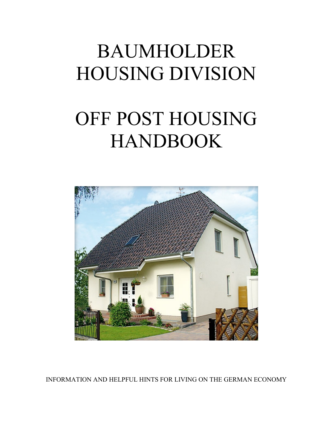# BAUMHOLDER HOUSING DIVISION

# OFF POST HOUSING **HANDBOOK**



INFORMATION AND HELPFUL HINTS FOR LIVING ON THE GERMAN ECONOMY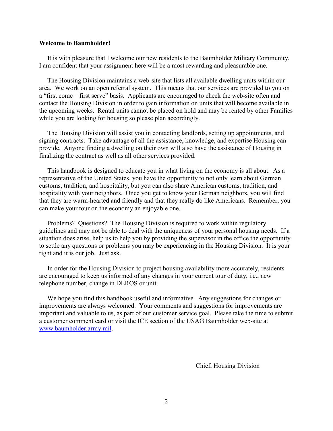#### **Welcome to Baumholder!**

It is with pleasure that I welcome our new residents to the Baumholder Military Community. I am confident that your assignment here will be a most rewarding and pleasurable one.

 The Housing Division maintains a web-site that lists all available dwelling units within our area. We work on an open referral system. This means that our services are provided to you on a "first come – first serve" basis. Applicants are encouraged to check the web-site often and contact the Housing Division in order to gain information on units that will become available in the upcoming weeks. Rental units cannot be placed on hold and may be rented by other Families while you are looking for housing so please plan accordingly.

 The Housing Division will assist you in contacting landlords, setting up appointments, and signing contracts. Take advantage of all the assistance, knowledge, and expertise Housing can provide. Anyone finding a dwelling on their own will also have the assistance of Housing in finalizing the contract as well as all other services provided.

 This handbook is designed to educate you in what living on the economy is all about. As a representative of the United States, you have the opportunity to not only learn about German customs, tradition, and hospitality, but you can also share American customs, tradition, and hospitality with your neighbors. Once you get to know your German neighbors, you will find that they are warm-hearted and friendly and that they really do like Americans. Remember, you can make your tour on the economy an enjoyable one.

 Problems? Questions? The Housing Division is required to work within regulatory guidelines and may not be able to deal with the uniqueness of your personal housing needs. If a situation does arise, help us to help you by providing the supervisor in the office the opportunity to settle any questions or problems you may be experiencing in the Housing Division. It is your right and it is our job. Just ask.

 In order for the Housing Division to project housing availability more accurately, residents are encouraged to keep us informed of any changes in your current tour of duty, i.e., new telephone number, change in DEROS or unit.

 We hope you find this handbook useful and informative. Any suggestions for changes or improvements are always welcomed. Your comments and suggestions for improvements are important and valuable to us, as part of our customer service goal. Please take the time to submit a customer comment card or visit the ICE section of the USAG Baumholder web-site at [www.baumholder.army.mil.](http://www.baumholder.army.mil/)

Chief, Housing Division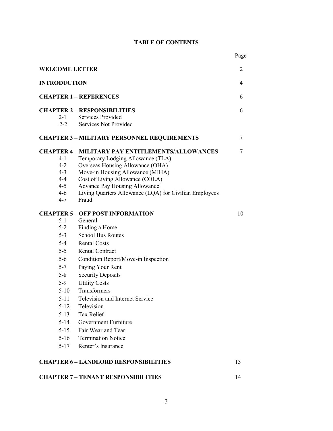## **TABLE OF CONTENTS**

|                       |                                                         | Page |  |
|-----------------------|---------------------------------------------------------|------|--|
| <b>WELCOME LETTER</b> |                                                         |      |  |
| <b>INTRODUCTION</b>   |                                                         |      |  |
|                       | <b>CHAPTER 1 - REFERENCES</b>                           |      |  |
|                       | <b>CHAPTER 2 - RESPONSIBILITIES</b>                     | 6    |  |
| $2-1$                 | Services Provided                                       |      |  |
| $2 - 2$               | <b>Services Not Provided</b>                            |      |  |
|                       | <b>CHAPTER 3 - MILITARY PERSONNEL REQUIREMENTS</b>      | 7    |  |
|                       | <b>CHAPTER 4 - MILITARY PAY ENTITLEMENTS/ALLOWANCES</b> | 7    |  |
| $4 - 1$               | Temporary Lodging Allowance (TLA)                       |      |  |
| $4 - 2$               | Overseas Housing Allowance (OHA)                        |      |  |
| $4 - 3$               | Move-in Housing Allowance (MIHA)                        |      |  |
| $4 - 4$               | Cost of Living Allowance (COLA)                         |      |  |
| $4 - 5$               | Advance Pay Housing Allowance                           |      |  |
| $4 - 6$               | Living Quarters Allowance (LQA) for Civilian Employees  |      |  |
| $4 - 7$               | Fraud                                                   |      |  |
|                       | <b>CHAPTER 5 - OFF POST INFORMATION</b>                 |      |  |
| $5-1$                 | General                                                 |      |  |
| $5 - 2$               | Finding a Home                                          |      |  |
| $5 - 3$               | <b>School Bus Routes</b>                                |      |  |
| $5-4$                 | <b>Rental Costs</b>                                     |      |  |
| $5 - 5$               | <b>Rental Contract</b>                                  |      |  |
| $5-6$                 | Condition Report/Move-in Inspection                     |      |  |
| $5 - 7$               | Paying Your Rent                                        |      |  |
| $5 - 8$               | <b>Security Deposits</b>                                |      |  |
| $5-9$                 | <b>Utility Costs</b>                                    |      |  |
| $5-10$                | Transformers                                            |      |  |
| $5 - 11$              | Television and Internet Service                         |      |  |
| $5 - 12$              | Television                                              |      |  |
| $5 - 13$              | Tax Relief                                              |      |  |
| $5 - 14$              | <b>Government Furniture</b>                             |      |  |
| $5 - 15$              | Fair Wear and Tear                                      |      |  |
| $5-16$                | <b>Termination Notice</b>                               |      |  |
|                       | Renter's Insurance                                      |      |  |
| $5 - 17$              |                                                         |      |  |
|                       | <b>CHAPTER 6 - LANDLORD RESPONSIBILITIES</b>            | 13   |  |
|                       | <b>CHAPTER 7 - TENANT RESPONSIBILITIES</b>              | 14   |  |
|                       |                                                         |      |  |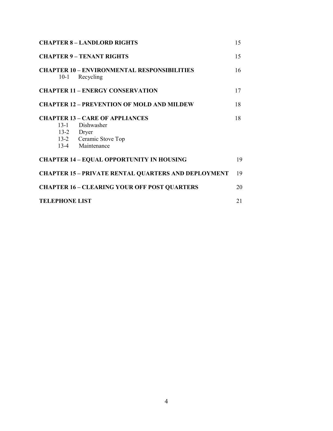| <b>CHAPTER 8 - LANDLORD RIGHTS</b>                                                                                         |    |  |  |  |
|----------------------------------------------------------------------------------------------------------------------------|----|--|--|--|
| <b>CHAPTER 9 - TENANT RIGHTS</b>                                                                                           | 15 |  |  |  |
| <b>CHAPTER 10 – ENVIRONMENTAL RESPONSIBILITIES</b><br>Recycling<br>$10-1$                                                  | 16 |  |  |  |
| <b>CHAPTER 11 - ENERGY CONSERVATION</b>                                                                                    | 17 |  |  |  |
| <b>CHAPTER 12 – PREVENTION OF MOLD AND MILDEW</b>                                                                          | 18 |  |  |  |
| <b>CHAPTER 13 – CARE OF APPLIANCES</b><br>$13-1$<br>Dishwasher<br>13-2 Dryer<br>13-2 Ceramic Stove Top<br>13-4 Maintenance | 18 |  |  |  |
| <b>CHAPTER 14 - EQUAL OPPORTUNITY IN HOUSING</b>                                                                           |    |  |  |  |
| <b>CHAPTER 15 - PRIVATE RENTAL QUARTERS AND DEPLOYMENT</b>                                                                 |    |  |  |  |
| <b>CHAPTER 16 - CLEARING YOUR OFF POST QUARTERS</b>                                                                        |    |  |  |  |
| <b>TELEPHONE LIST</b>                                                                                                      |    |  |  |  |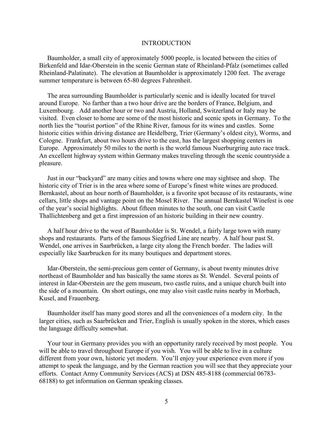#### INTRODUCTION

 Baumholder, a small city of approximately 5000 people, is located between the cities of Birkenfeld and Idar-Oberstein in the scenic German state of Rheinland-Pfalz (sometimes called Rheinland-Palatinate). The elevation at Baumholder is approximately 1200 feet. The average summer temperature is between 65-80 degrees Fahrenheit.

 The area surrounding Baumholder is particularly scenic and is ideally located for travel around Europe. No farther than a two hour drive are the borders of France, Belgium, and Luxembourg. Add another hour or two and Austria, Holland, Switzerland or Italy may be visited. Even closer to home are some of the most historic and scenic spots in Germany. To the north lies the "tourist portion" of the Rhine River, famous for its wines and castles. Some historic cities within driving distance are Heidelberg, Trier (Germany's oldest city), Worms, and Cologne. Frankfurt, about two hours drive to the east, has the largest shopping centers in Europe. Approximately 50 miles to the north is the world famous Nuerburgring auto race track. An excellent highway system within Germany makes traveling through the scenic countryside a pleasure.

 Just in our "backyard" are many cities and towns where one may sightsee and shop. The historic city of Trier is in the area where some of Europe's finest white wines are produced. Bernkastel, about an hour north of Baumholder, is a favorite spot because of its restaurants, wine cellars, little shops and vantage point on the Mosel River. The annual Bernkastel Winefest is one of the year's social highlights. About fifteen minutes to the south, one can visit Castle Thallichtenberg and get a first impression of an historic building in their new country.

 A half hour drive to the west of Baumholder is St. Wendel, a fairly large town with many shops and restaurants. Parts of the famous Siegfried Line are nearby. A half hour past St. Wendel, one arrives in Saarbrücken, a large city along the French border. The ladies will especially like Saarbrucken for its many boutiques and department stores.

 Idar-Oberstein, the semi-precious gem center of Germany, is about twenty minutes drive northeast of Baumholder and has basically the same stores as St. Wendel. Several points of interest in Idar-Oberstein are the gem museum, two castle ruins, and a unique church built into the side of a mountain. On short outings, one may also visit castle ruins nearby in Morbach, Kusel, and Frauenberg.

 Baumholder itself has many good stores and all the conveniences of a modern city. In the larger cities, such as Saarbrücken and Trier, English is usually spoken in the stores, which eases the language difficulty somewhat.

 Your tour in Germany provides you with an opportunity rarely received by most people. You will be able to travel throughout Europe if you wish. You will be able to live in a culture different from your own, historic yet modern. You'll enjoy your experience even more if you attempt to speak the language, and by the German reaction you will see that they appreciate your efforts. Contact Army Community Services (ACS) at DSN 485-8188 (commercial 06783- 68188) to get information on German speaking classes.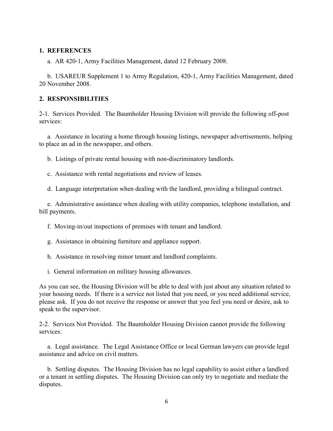#### **1. REFERENCES**

a. AR 420-1, Army Facilities Management, dated 12 February 2008.

 b. USAREUR Supplement 1 to Army Regulation, 420-1, Army Facilities Management, dated 20 November 2008.

#### **2. RESPONSIBILITIES**

2-1. Services Provided. The Baumholder Housing Division will provide the following off-post services:

 a. Assistance in locating a home through housing listings, newspaper advertisements, helping to place an ad in the newspaper, and others.

b. Listings of private rental housing with non-discriminatory landlords.

c. Assistance with rental negotiations and review of leases.

d. Language interpretation when dealing with the landlord, providing a bilingual contract.

 e. Administrative assistance when dealing with utility companies, telephone installation, and bill payments.

- f. Moving-in/out inspections of premises with tenant and landlord.
- g. Assistance in obtaining furniture and appliance support.
- h. Assistance in resolving minor tenant and landlord complaints.
- i. General information on military housing allowances.

As you can see, the Housing Division will be able to deal with just about any situation related to your housing needs. If there is a service not listed that you need, or you need additional service, please ask. If you do not receive the response or answer that you feel you need or desire, ask to speak to the supervisor.

2-2. Services Not Provided. The Baumholder Housing Division cannot provide the following services:

 a. Legal assistance. The Legal Assistance Office or local German lawyers can provide legal assistance and advice on civil matters.

 b. Settling disputes. The Housing Division has no legal capability to assist either a landlord or a tenant in settling disputes. The Housing Division can only try to negotiate and mediate the disputes.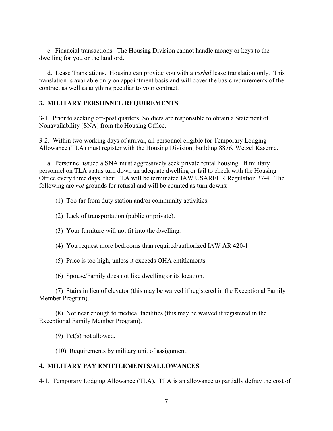c. Financial transactions. The Housing Division cannot handle money or keys to the dwelling for you or the landlord.

 d. Lease Translations. Housing can provide you with a *verbal* lease translation only. This translation is available only on appointment basis and will cover the basic requirements of the contract as well as anything peculiar to your contract.

#### **3. MILITARY PERSONNEL REQUIREMENTS**

3-1. Prior to seeking off-post quarters, Soldiers are responsible to obtain a Statement of Nonavailability (SNA) from the Housing Office.

3-2. Within two working days of arrival, all personnel eligible for Temporary Lodging Allowance (TLA) must register with the Housing Division, building 8876, Wetzel Kaserne.

 a. Personnel issued a SNA must aggressively seek private rental housing. If military personnel on TLA status turn down an adequate dwelling or fail to check with the Housing Office every three days, their TLA will be terminated IAW USAREUR Regulation 37-4. The following are *not* grounds for refusal and will be counted as turn downs:

- (1) Too far from duty station and/or community activities.
- (2) Lack of transportation (public or private).
- (3) Your furniture will not fit into the dwelling.
- (4) You request more bedrooms than required/authorized IAW AR 420-1.
- (5) Price is too high, unless it exceeds OHA entitlements.
- (6) Spouse/Family does not like dwelling or its location.

(7) Stairs in lieu of elevator (this may be waived if registered in the Exceptional Family Member Program).

(8) Not near enough to medical facilities (this may be waived if registered in the Exceptional Family Member Program).

(9) Pet(s) not allowed.

(10) Requirements by military unit of assignment.

#### **4. MILITARY PAY ENTITLEMENTS/ALLOWANCES**

4-1. Temporary Lodging Allowance (TLA). TLA is an allowance to partially defray the cost of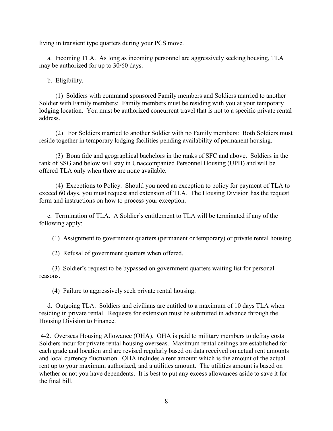living in transient type quarters during your PCS move.

 a. Incoming TLA. As long as incoming personnel are aggressively seeking housing, TLA may be authorized for up to 30/60 days.

b. Eligibility.

(1) Soldiers with command sponsored Family members and Soldiers married to another Soldier with Family members: Family members must be residing with you at your temporary lodging location. You must be authorized concurrent travel that is not to a specific private rental address.

(2) For Soldiers married to another Soldier with no Family members: Both Soldiers must reside together in temporary lodging facilities pending availability of permanent housing.

(3) Bona fide and geographical bachelors in the ranks of SFC and above. Soldiers in the rank of SSG and below will stay in Unaccompanied Personnel Housing (UPH) and will be offered TLA only when there are none available.

 (4) Exceptions to Policy. Should you need an exception to policy for payment of TLA to exceed 60 days, you must request and extension of TLA. The Housing Division has the request form and instructions on how to process your exception.

 c. Termination of TLA. A Soldier's entitlement to TLA will be terminated if any of the following apply:

(1) Assignment to government quarters (permanent or temporary) or private rental housing.

(2) Refusal of government quarters when offered.

 (3) Soldier's request to be bypassed on government quarters waiting list for personal reasons.

(4) Failure to aggressively seek private rental housing.

 d. Outgoing TLA. Soldiers and civilians are entitled to a maximum of 10 days TLA when residing in private rental. Requests for extension must be submitted in advance through the Housing Division to Finance.

4-2. Overseas Housing Allowance (OHA). OHA is paid to military members to defray costs Soldiers incur for private rental housing overseas. Maximum rental ceilings are established for each grade and location and are revised regularly based on data received on actual rent amounts and local currency fluctuation. OHA includes a rent amount which is the amount of the actual rent up to your maximum authorized, and a utilities amount. The utilities amount is based on whether or not you have dependents. It is best to put any excess allowances aside to save it for the final bill.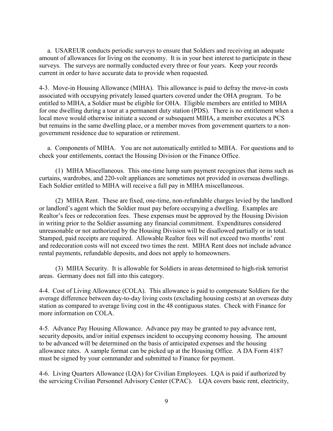a. USAREUR conducts periodic surveys to ensure that Soldiers and receiving an adequate amount of allowances for living on the economy. It is in your best interest to participate in these surveys. The surveys are normally conducted every three or four years. Keep your records current in order to have accurate data to provide when requested.

4-3. Move-in Housing Allowance (MIHA). This allowance is paid to defray the move-in costs associated with occupying privately leased quarters covered under the OHA program. To be entitled to MIHA, a Soldier must be eligible for OHA. Eligible members are entitled to MIHA for one dwelling during a tour at a permanent duty station (PDS). There is no entitlement when a local move would otherwise initiate a second or subsequent MIHA, a member executes a PCS but remains in the same dwelling place, or a member moves from government quarters to a nongovernment residence due to separation or retirement.

 a. Components of MIHA. You are not automatically entitled to MIHA. For questions and to check your entitlements, contact the Housing Division or the Finance Office.

(1) MIHA Miscellaneous. This one-time lump sum payment recognizes that items such as curtains, wardrobes, and 220-volt appliances are sometimes not provided in overseas dwellings. Each Soldier entitled to MIHA will receive a full pay in MIHA miscellaneous.

(2) MIHA Rent. These are fixed, one-time, non-refundable charges levied by the landlord or landlord's agent which the Soldier must pay before occupying a dwelling. Examples are Realtor's fees or redecoration fees. These expenses must be approved by the Housing Division in writing prior to the Soldier assuming any financial commitment. Expenditures considered unreasonable or not authorized by the Housing Division will be disallowed partially or in total. Stamped, paid receipts are required. Allowable Realtor fees will not exceed two months' rent and redecoration costs will not exceed two times the rent. MIHA Rent does not include advance rental payments, refundable deposits, and does not apply to homeowners.

(3) MIHA Security. It is allowable for Soldiers in areas determined to high-risk terrorist areas. Germany does not fall into this category.

4-4. Cost of Living Allowance (COLA). This allowance is paid to compensate Soldiers for the average difference between day-to-day living costs (excluding housing costs) at an overseas duty station as compared to average living cost in the 48 contiguous states. Check with Finance for more information on COLA.

4-5. Advance Pay Housing Allowance. Advance pay may be granted to pay advance rent, security deposits, and/or initial expenses incident to occupying economy housing. The amount to be advanced will be determined on the basis of anticipated expenses and the housing allowance rates. A sample format can be picked up at the Housing Office. A DA Form 4187 must be signed by your commander and submitted to Finance for payment.

4-6. Living Quarters Allowance (LQA) for Civilian Employees. LQA is paid if authorized by the servicing Civilian Personnel Advisory Center (CPAC). LQA covers basic rent, electricity,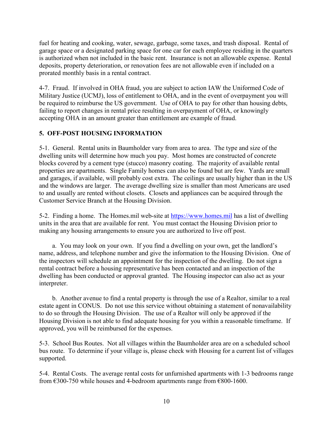fuel for heating and cooking, water, sewage, garbage, some taxes, and trash disposal. Rental of garage space or a designated parking space for one car for each employee residing in the quarters is authorized when not included in the basic rent. Insurance is not an allowable expense. Rental deposits, property deterioration, or renovation fees are not allowable even if included on a prorated monthly basis in a rental contract.

4-7. Fraud. If involved in OHA fraud, you are subject to action IAW the Uniformed Code of Military Justice (UCMJ), loss of entitlement to OHA, and in the event of overpayment you will be required to reimburse the US government. Use of OHA to pay for other than housing debts, failing to report changes in rental price resulting in overpayment of OHA, or knowingly accepting OHA in an amount greater than entitlement are example of fraud.

# **5. OFF-POST HOUSING INFORMATION**

5-1. General. Rental units in Baumholder vary from area to area. The type and size of the dwelling units will determine how much you pay. Most homes are constructed of concrete blocks covered by a cement type (stucco) masonry coating. The majority of available rental properties are apartments. Single Family homes can also be found but are few. Yards are small and garages, if available, will probably cost extra. The ceilings are usually higher than in the US and the windows are larger. The average dwelling size is smaller than most Americans are used to and usually are rented without closets. Closets and appliances can be acquired through the Customer Service Branch at the Housing Division.

5-2. Finding a home. The Homes.mil web-site at [https://www.homes.mil](https://www.homes.mil/) has a list of dwelling units in the area that are available for rent. You must contact the Housing Division prior to making any housing arrangements to ensure you are authorized to live off post.

 a. You may look on your own. If you find a dwelling on your own, get the landlord's name, address, and telephone number and give the information to the Housing Division. One of the inspectors will schedule an appointment for the inspection of the dwelling. Do not sign a rental contract before a housing representative has been contacted and an inspection of the dwelling has been conducted or approval granted. The Housing inspector can also act as your interpreter.

 b. Another avenue to find a rental property is through the use of a Realtor, similar to a real estate agent in CONUS. Do not use this service without obtaining a statement of nonavailability to do so through the Housing Division. The use of a Realtor will only be approved if the Housing Division is not able to find adequate housing for you within a reasonable timeframe. If approved, you will be reimbursed for the expenses.

5-3. School Bus Routes. Not all villages within the Baumholder area are on a scheduled school bus route. To determine if your village is, please check with Housing for a current list of villages supported.

5-4. Rental Costs. The average rental costs for unfurnished apartments with 1-3 bedrooms range from  $\text{\textsterling}300\text{-}750$  while houses and 4-bedroom apartments range from  $\text{\textsterling}800\text{-}1600$ .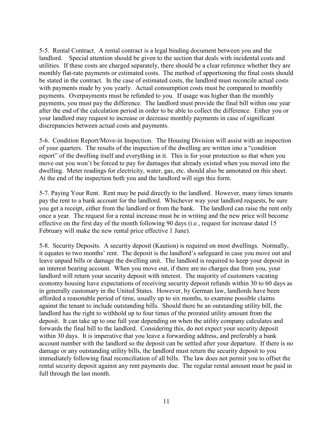5-5. Rental Contract. A rental contract is a legal binding document between you and the landlord. Special attention should be given to the section that deals with incidental costs and utilities. If these costs are charged separately, there should be a clear reference whether they are monthly flat-rate payments or estimated costs. The method of apportioning the final costs should be stated in the contract. In the case of estimated costs, the landlord must reconcile actual costs with payments made by you yearly. Actual consumption costs must be compared to monthly payments. Overpayments must be refunded to you. If usage was higher than the monthly payments, you must pay the difference. The landlord must provide the final bill within one year after the end of the calculation period in order to be able to collect the difference. Either you or your landlord may request to increase or decrease monthly payments in case of significant discrepancies between actual costs and payments.

5-6. Condition Report/Move-in Inspection. The Housing Division will assist with an inspection of your quarters. The results of the inspection of the dwelling are written into a "condition report" of the dwelling itself and everything in it. This is for your protection so that when you move out you won't be forced to pay for damages that already existed when you moved into the dwelling. Meter readings for electricity, water, gas, etc. should also be annotated on this sheet. At the end of the inspection both you and the landlord will sign this form.

5-7. Paying Your Rent. Rent may be paid directly to the landlord. However, many times tenants pay the rent to a bank account for the landlord. Whichever way your landlord requests, be sure you get a receipt, either from the landlord or from the bank. The landlord can raise the rent only once a year. The request for a rental increase must be in writing and the new price will become effective on the first day of the month following 90 days (i.e., request for increase dated 15 February will make the new rental price effective 1 June).

5-8. Security Deposits. A security deposit (Kaution) is required on most dwellings. Normally, it equates to two months' rent. The deposit is the landlord's safeguard in case you move out and leave unpaid bills or damage the dwelling unit. The landlord is required to keep your deposit in an interest bearing account. When you move out, if there are no charges due from you, your landlord will return your security deposit with interest. The majority of customers vacating economy housing have expectations of receiving security deposit refunds within 30 to 60 days as in generally customary in the United States. However, by German law, landlords have been afforded a reasonable period of time, usually up to six months, to examine possible claims against the tenant to include outstanding bills. Should there be an outstanding utility bill, the landlord has the right to withhold up to four times of the prorated utility amount from the deposit. It can take up to one full year depending on when the utility company calculates and forwards the final bill to the landlord. Considering this, do not expect your security deposit within 30 days. It is imperative that you leave a forwarding address, and preferably a bank account number with the landlord so the deposit can be settled after your departure. If there is no damage or any outstanding utility bills, the landlord must return the security deposit to you immediately following final reconciliation of all bills. The law does not permit you to offset the rental security deposit against any rent payments due. The regular rental amount must be paid in full through the last month.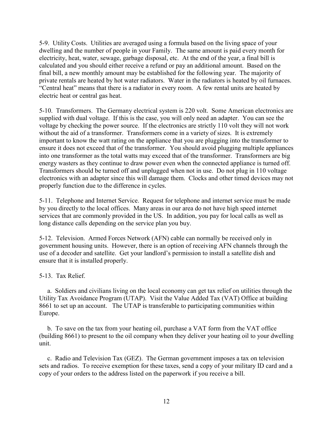5-9. Utility Costs. Utilities are averaged using a formula based on the living space of your dwelling and the number of people in your Family. The same amount is paid every month for electricity, heat, water, sewage, garbage disposal, etc. At the end of the year, a final bill is calculated and you should either receive a refund or pay an additional amount. Based on the final bill, a new monthly amount may be established for the following year. The majority of private rentals are heated by hot water radiators. Water in the radiators is heated by oil furnaces. "Central heat" means that there is a radiator in every room. A few rental units are heated by electric heat or central gas heat.

5-10. Transformers. The Germany electrical system is 220 volt. Some American electronics are supplied with dual voltage. If this is the case, you will only need an adapter. You can see the voltage by checking the power source. If the electronics are strictly 110 volt they will not work without the aid of a transformer. Transformers come in a variety of sizes. It is extremely important to know the watt rating on the appliance that you are plugging into the transformer to ensure it does not exceed that of the transformer. You should avoid plugging multiple appliances into one transformer as the total watts may exceed that of the transformer. Transformers are big energy wasters as they continue to draw power even when the connected appliance is turned off. Transformers should be turned off and unplugged when not in use. Do not plug in 110 voltage electronics with an adapter since this will damage them. Clocks and other timed devices may not properly function due to the difference in cycles.

5-11. Telephone and Internet Service. Request for telephone and internet service must be made by you directly to the local offices. Many areas in our area do not have high speed internet services that are commonly provided in the US. In addition, you pay for local calls as well as long distance calls depending on the service plan you buy.

5-12. Television. Armed Forces Network (AFN) cable can normally be received only in government housing units. However, there is an option of receiving AFN channels through the use of a decoder and satellite. Get your landlord's permission to install a satellite dish and ensure that it is installed properly.

## 5-13. Tax Relief.

 a. Soldiers and civilians living on the local economy can get tax relief on utilities through the Utility Tax Avoidance Program (UTAP). Visit the Value Added Tax (VAT) Office at building 8661 to set up an account. The UTAP is transferable to participating communities within Europe.

 b. To save on the tax from your heating oil, purchase a VAT form from the VAT office (building 8661) to present to the oil company when they deliver your heating oil to your dwelling unit.

 c. Radio and Television Tax (GEZ). The German government imposes a tax on television sets and radios. To receive exemption for these taxes, send a copy of your military ID card and a copy of your orders to the address listed on the paperwork if you receive a bill.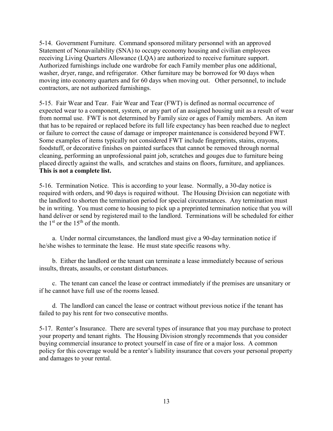5-14. Government Furniture. Command sponsored military personnel with an approved Statement of Nonavailability (SNA) to occupy economy housing and civilian employees receiving Living Quarters Allowance (LQA) are authorized to receive furniture support. Authorized furnishings include one wardrobe for each Family member plus one additional, washer, dryer, range, and refrigerator. Other furniture may be borrowed for 90 days when moving into economy quarters and for 60 days when moving out. Other personnel, to include contractors, are not authorized furnishings.

5-15. Fair Wear and Tear. Fair Wear and Tear (FWT) is defined as normal occurrence of expected wear to a component, system, or any part of an assigned housing unit as a result of wear from normal use. FWT is not determined by Family size or ages of Family members. An item that has to be repaired or replaced before its full life expectancy has been reached due to neglect or failure to correct the cause of damage or improper maintenance is considered beyond FWT. Some examples of items typically not considered FWT include fingerprints, stains, crayons, foodstuff, or decorative finishes on painted surfaces that cannot be removed through normal cleaning, performing an unprofessional paint job, scratches and gouges due to furniture being placed directly against the walls, and scratches and stains on floors, furniture, and appliances. **This is not a complete list.**

5-16. Termination Notice. This is according to your lease. Normally, a 30-day notice is required with orders, and 90 days is required without. The Housing Division can negotiate with the landlord to shorten the termination period for special circumstances. Any termination must be in writing. You must come to housing to pick up a preprinted termination notice that you will hand deliver or send by registered mail to the landlord. Terminations will be scheduled for either the  $1<sup>st</sup>$  or the  $15<sup>th</sup>$  of the month.

 a. Under normal circumstances, the landlord must give a 90-day termination notice if he/she wishes to terminate the lease. He must state specific reasons why.

 b. Either the landlord or the tenant can terminate a lease immediately because of serious insults, threats, assaults, or constant disturbances.

 c. The tenant can cancel the lease or contract immediately if the premises are unsanitary or if he cannot have full use of the rooms leased.

 d. The landlord can cancel the lease or contract without previous notice if the tenant has failed to pay his rent for two consecutive months.

5-17. Renter's Insurance. There are several types of insurance that you may purchase to protect your property and tenant rights. The Housing Division strongly recommends that you consider buying commercial insurance to protect yourself in case of fire or a major loss. A common policy for this coverage would be a renter's liability insurance that covers your personal property and damages to your rental.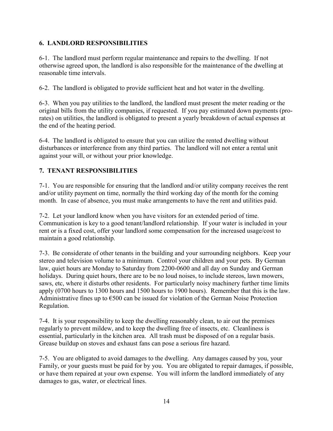## **6. LANDLORD RESPONSIBILITIES**

6-1. The landlord must perform regular maintenance and repairs to the dwelling. If not otherwise agreed upon, the landlord is also responsible for the maintenance of the dwelling at reasonable time intervals.

6-2. The landlord is obligated to provide sufficient heat and hot water in the dwelling.

6-3. When you pay utilities to the landlord, the landlord must present the meter reading or the original bills from the utility companies, if requested. If you pay estimated down payments (prorates) on utilities, the landlord is obligated to present a yearly breakdown of actual expenses at the end of the heating period.

6-4. The landlord is obligated to ensure that you can utilize the rented dwelling without disturbances or interference from any third parties. The landlord will not enter a rental unit against your will, or without your prior knowledge.

## **7. TENANT RESPONSIBILITIES**

7-1. You are responsible for ensuring that the landlord and/or utility company receives the rent and/or utility payment on time, normally the third working day of the month for the coming month. In case of absence, you must make arrangements to have the rent and utilities paid.

7-2. Let your landlord know when you have visitors for an extended period of time. Communication is key to a good tenant/landlord relationship. If your water is included in your rent or is a fixed cost, offer your landlord some compensation for the increased usage/cost to maintain a good relationship.

7-3. Be considerate of other tenants in the building and your surrounding neighbors. Keep your stereo and television volume to a minimum. Control your children and your pets. By German law, quiet hours are Monday to Saturday from 2200-0600 and all day on Sunday and German holidays. During quiet hours, there are to be no loud noises, to include stereos, lawn mowers, saws, etc, where it disturbs other residents. For particularly noisy machinery further time limits apply (0700 hours to 1300 hours and 1500 hours to 1900 hours). Remember that this is the law. Administrative fines up to  $\epsilon$ 500 can be issued for violation of the German Noise Protection Regulation.

7-4. It is your responsibility to keep the dwelling reasonably clean, to air out the premises regularly to prevent mildew, and to keep the dwelling free of insects, etc. Cleanliness is essential, particularly in the kitchen area. All trash must be disposed of on a regular basis. Grease buildup on stoves and exhaust fans can pose a serious fire hazard.

7-5. You are obligated to avoid damages to the dwelling. Any damages caused by you, your Family, or your guests must be paid for by you. You are obligated to repair damages, if possible, or have them repaired at your own expense. You will inform the landlord immediately of any damages to gas, water, or electrical lines.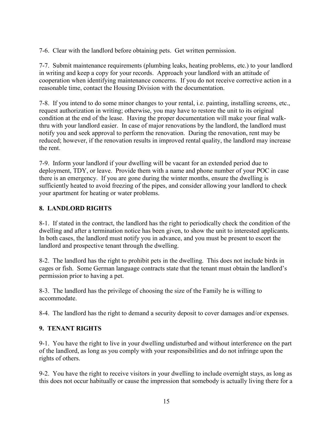7-6. Clear with the landlord before obtaining pets. Get written permission.

7-7. Submit maintenance requirements (plumbing leaks, heating problems, etc.) to your landlord in writing and keep a copy for your records. Approach your landlord with an attitude of cooperation when identifying maintenance concerns. If you do not receive corrective action in a reasonable time, contact the Housing Division with the documentation.

7-8. If you intend to do some minor changes to your rental, i.e. painting, installing screens, etc., request authorization in writing; otherwise, you may have to restore the unit to its original condition at the end of the lease. Having the proper documentation will make your final walkthru with your landlord easier. In case of major renovations by the landlord, the landlord must notify you and seek approval to perform the renovation. During the renovation, rent may be reduced; however, if the renovation results in improved rental quality, the landlord may increase the rent.

7-9. Inform your landlord if your dwelling will be vacant for an extended period due to deployment, TDY, or leave. Provide them with a name and phone number of your POC in case there is an emergency. If you are gone during the winter months, ensure the dwelling is sufficiently heated to avoid freezing of the pipes, and consider allowing your landlord to check your apartment for heating or water problems.

## **8. LANDLORD RIGHTS**

8-1. If stated in the contract, the landlord has the right to periodically check the condition of the dwelling and after a termination notice has been given, to show the unit to interested applicants. In both cases, the landlord must notify you in advance, and you must be present to escort the landlord and prospective tenant through the dwelling.

8-2. The landlord has the right to prohibit pets in the dwelling. This does not include birds in cages or fish. Some German language contracts state that the tenant must obtain the landlord's permission prior to having a pet.

8-3. The landlord has the privilege of choosing the size of the Family he is willing to accommodate.

8-4. The landlord has the right to demand a security deposit to cover damages and/or expenses.

## **9. TENANT RIGHTS**

9-1. You have the right to live in your dwelling undisturbed and without interference on the part of the landlord, as long as you comply with your responsibilities and do not infringe upon the rights of others.

9-2. You have the right to receive visitors in your dwelling to include overnight stays, as long as this does not occur habitually or cause the impression that somebody is actually living there for a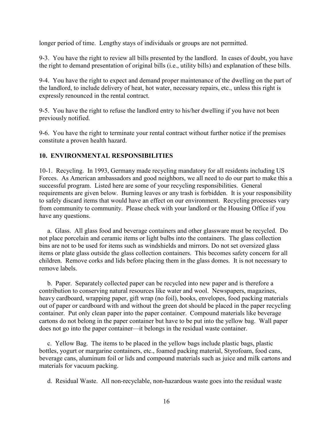longer period of time. Lengthy stays of individuals or groups are not permitted.

9-3. You have the right to review all bills presented by the landlord. In cases of doubt, you have the right to demand presentation of original bills (i.e., utility bills) and explanation of these bills.

9-4. You have the right to expect and demand proper maintenance of the dwelling on the part of the landlord, to include delivery of heat, hot water, necessary repairs, etc., unless this right is expressly renounced in the rental contract.

9-5. You have the right to refuse the landlord entry to his/her dwelling if you have not been previously notified.

9-6. You have the right to terminate your rental contract without further notice if the premises constitute a proven health hazard.

## **10. ENVIRONMENTAL RESPONSIBILITIES**

10-1. Recycling. In 1993, Germany made recycling mandatory for all residents including US Forces. As American ambassadors and good neighbors, we all need to do our part to make this a successful program. Listed here are some of your recycling responsibilities. General requirements are given below. Burning leaves or any trash is forbidden. It is your responsibility to safely discard items that would have an effect on our environment. Recycling processes vary from community to community. Please check with your landlord or the Housing Office if you have any questions.

 a. Glass. All glass food and beverage containers and other glassware must be recycled. Do not place porcelain and ceramic items or light bulbs into the containers. The glass collection bins are not to be used for items such as windshields and mirrors. Do not set oversized glass items or plate glass outside the glass collection containers. This becomes safety concern for all children. Remove corks and lids before placing them in the glass domes. It is not necessary to remove labels.

 b. Paper. Separately collected paper can be recycled into new paper and is therefore a contribution to conserving natural resources like water and wool. Newspapers, magazines, heavy cardboard, wrapping paper, gift wrap (no foil), books, envelopes, food packing materials out of paper or cardboard with and without the green dot should be placed in the paper recycling container. Put only clean paper into the paper container. Compound materials like beverage cartons do not belong in the paper container but have to be put into the yellow bag. Wall paper does not go into the paper container—it belongs in the residual waste container.

 c. Yellow Bag. The items to be placed in the yellow bags include plastic bags, plastic bottles, yogurt or margarine containers, etc., foamed packing material, Styrofoam, food cans, beverage cans, aluminum foil or lids and compound materials such as juice and milk cartons and materials for vacuum packing.

d. Residual Waste. All non-recyclable, non-hazardous waste goes into the residual waste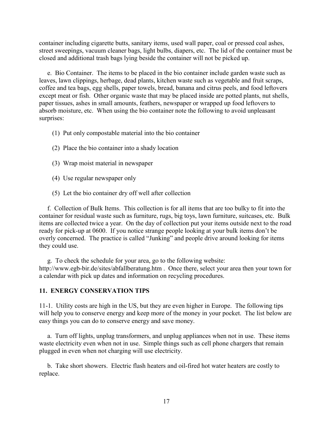container including cigarette butts, sanitary items, used wall paper, coal or pressed coal ashes, street sweepings, vacuum cleaner bags, light bulbs, diapers, etc. The lid of the container must be closed and additional trash bags lying beside the container will not be picked up.

 e. Bio Container. The items to be placed in the bio container include garden waste such as leaves, lawn clippings, herbage, dead plants, kitchen waste such as vegetable and fruit scraps, coffee and tea bags, egg shells, paper towels, bread, banana and citrus peels, and food leftovers except meat or fish. Other organic waste that may be placed inside are potted plants, nut shells, paper tissues, ashes in small amounts, feathers, newspaper or wrapped up food leftovers to absorb moisture, etc. When using the bio container note the following to avoid unpleasant surprises:

- (1) Put only compostable material into the bio container
- (2) Place the bio container into a shady location
- (3) Wrap moist material in newspaper
- (4) Use regular newspaper only
- (5) Let the bio container dry off well after collection

 f. Collection of Bulk Items. This collection is for all items that are too bulky to fit into the container for residual waste such as furniture, rugs, big toys, lawn furniture, suitcases, etc. Bulk items are collected twice a year. On the day of collection put your items outside next to the road ready for pick-up at 0600. If you notice strange people looking at your bulk items don't be overly concerned. The practice is called "Junking" and people drive around looking for items they could use.

g. To check the schedule for your area, go to the following website:

http://www.egb-bir.de/sites/abfallberatung.htm . Once there, select your area then your town for a calendar with pick up dates and information on recycling procedures.

#### **11. ENERGY CONSERVATION TIPS**

11-1. Utility costs are high in the US, but they are even higher in Europe. The following tips will help you to conserve energy and keep more of the money in your pocket. The list below are easy things you can do to conserve energy and save money.

 a. Turn off lights, unplug transformers, and unplug appliances when not in use. These items waste electricity even when not in use. Simple things such as cell phone chargers that remain plugged in even when not charging will use electricity.

 b. Take short showers. Electric flash heaters and oil-fired hot water heaters are costly to replace.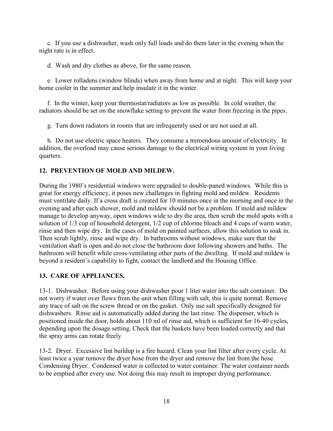c. If you use a dishwasher, wash only full loads and do them later in the evening when the night rate is in effect.

d. Wash and dry clothes as above, for the same reason.

 e. Lower rolladens (window blinds) when away from home and at night. This will keep your home cooler in the summer and help insulate it in the winter.

 f. In the winter, keep your thermostat/radiators as low as possible. In cold weather, the radiators should be set on the snowflake setting to prevent the water from freezing in the pipes.

g. Turn down radiators in rooms that are infrequently used or are not used at all.

 h. Do not use electric space heaters. They consume a tremendous amount of electricity. In addition, the overload may cause serious damage to the electrical wiring system in your living quarters.

## **12. PREVENTION OF MOLD AND MILDEW.**

During the 1980's residential windows were upgraded to double-paned windows. While this is great for energy efficiency, it poses new challenges in fighting mold and mildew. Residents must ventilate daily. If a cross draft is created for 10 minutes once in the morning and once in the evening and after each shower, mold and mildew should not be a problem. If mold and mildew manage to develop anyway, open windows wide to dry the area, then scrub the mold spots with a solution of 1/3 cup of household detergent, 1/2 cup of chlorine bleach and 4 cups of warm water, rinse and then wipe dry. In the cases of mold on painted surfaces, allow this solution to soak in. Then scrub lightly, rinse and wipe dry. In bathrooms without windows, make sure that the ventilation shaft is open and do not close the bathroom door following showers and baths. The bathroom will benefit while cross-ventilating other parts of the dwelling. If mold and mildew is beyond a resident's capability to fight, contact the landlord and the Housing Office.

## **13. CARE OF APPLIANCES.**

13-1. Dishwasher. Before using your dishwasher pour 1 liter water into the salt container. Do not worry if water over flows from the unit when filling with salt, this is quite normal. Remove any trace of salt on the screw thread or on the gasket. Only use salt specifically designed for dishwashers. Rinse aid is automatically added during the last rinse. The dispenser, which is positioned inside the door, holds about 110 ml of rinse aid, which is sufficient for 16-40 cycles, depending upon the dosage setting. Check that the baskets have been loaded correctly and that the spray arms can rotate freely

13-2. Dryer. Excessive lint buildup is a fire hazard. Clean your lint filter after every cycle. At least twice a year remove the dryer hose from the dryer and remove the lint from the hose. Condensing Dryer: Condensed water is collected to water container. The water container needs to be emptied after every use. Not doing this may result in improper drying performance.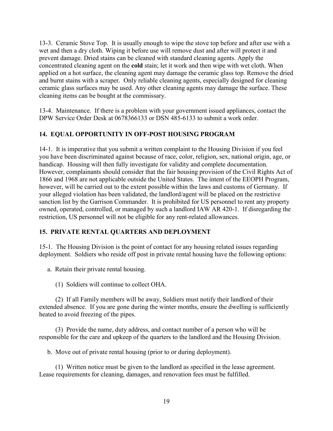13-3. Ceramic Stove Top. It is usually enough to wipe the stove top before and after use with a wet and then a dry cloth. Wiping it before use will remove dust and after will protect it and prevent damage. Dried stains can be cleaned with standard cleaning agents. Apply the concentrated cleaning agent on the **cold** stain; let it work and then wipe with wet cloth. When applied on a hot surface, the cleaning agent may damage the ceramic glass top. Remove the dried and burnt stains with a scraper. Only reliable cleaning agents, especially designed for cleaning ceramic glass surfaces may be used. Any other cleaning agents may damage the surface. These cleaning items can be bought at the commissary.

13-4. Maintenance. If there is a problem with your government issued appliances, contact the DPW Service Order Desk at 0678366133 or DSN 485-6133 to submit a work order.

## **14. EQUAL OPPORTUNITY IN OFF-POST HOUSING PROGRAM**

14-1. It is imperative that you submit a written complaint to the Housing Division if you feel you have been discriminated against because of race, color, religion, sex, national origin, age, or handicap. Housing will then fully investigate for validity and complete documentation. However, complainants should consider that the fair housing provision of the Civil Rights Act of 1866 and 1968 are not applicable outside the United States. The intent of the EEOPH Program, however, will be carried out to the extent possible within the laws and customs of Germany. If your alleged violation has been validated, the landlord/agent will be placed on the restrictive sanction list by the Garrison Commander. It is prohibited for US personnel to rent any property owned, operated, controlled, or managed by such a landlord IAW AR 420-1. If disregarding the restriction, US personnel will not be eligible for any rent-related allowances.

## **15. PRIVATE RENTAL QUARTERS AND DEPLOYMENT**

15-1. The Housing Division is the point of contact for any housing related issues regarding deployment. Soldiers who reside off post in private rental housing have the following options:

a. Retain their private rental housing.

(1) Soldiers will continue to collect OHA.

(2) If all Family members will be away, Soldiers must notify their landlord of their extended absence. If you are gone during the winter months, ensure the dwelling is sufficiently heated to avoid freezing of the pipes.

(3) Provide the name, duty address, and contact number of a person who will be responsible for the care and upkeep of the quarters to the landlord and the Housing Division.

b. Move out of private rental housing (prior to or during deployment).

(1) Written notice must be given to the landlord as specified in the lease agreement. Lease requirements for cleaning, damages, and renovation fees must be fulfilled.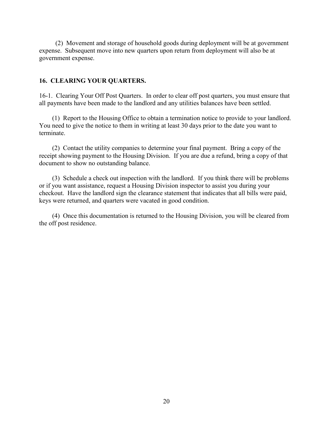(2) Movement and storage of household goods during deployment will be at government expense. Subsequent move into new quarters upon return from deployment will also be at government expense.

#### **16. CLEARING YOUR QUARTERS.**

16-1. Clearing Your Off Post Quarters. In order to clear off post quarters, you must ensure that all payments have been made to the landlord and any utilities balances have been settled.

 (1) Report to the Housing Office to obtain a termination notice to provide to your landlord. You need to give the notice to them in writing at least 30 days prior to the date you want to terminate.

 (2) Contact the utility companies to determine your final payment. Bring a copy of the receipt showing payment to the Housing Division. If you are due a refund, bring a copy of that document to show no outstanding balance.

 (3) Schedule a check out inspection with the landlord. If you think there will be problems or if you want assistance, request a Housing Division inspector to assist you during your checkout. Have the landlord sign the clearance statement that indicates that all bills were paid, keys were returned, and quarters were vacated in good condition.

 (4) Once this documentation is returned to the Housing Division, you will be cleared from the off post residence.